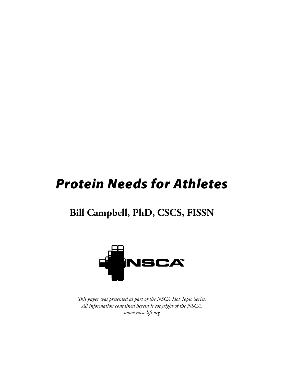# *Protein Needs for Athletes*

# **Bill Campbell, PhD, CSCS, FISSN**



*This paper was presented as part of the NSCA Hot Topic Series. All information contained herein is copyright of the NSCA. www.nsca-lift.org*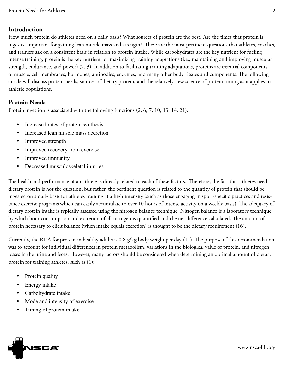### **Introduction**

How much protein do athletes need on a daily basis? What sources of protein are the best? Are the times that protein is ingested important for gaining lean muscle mass and strength? These are the most pertinent questions that athletes, coaches, and trainers ask on a consistent basis in relation to protein intake. While carbohydrates are the key nutrient for fueling intense training, protein is the key nutrient for maximizing training adaptations (i.e., maintaining and improving muscular strength, endurance, and power) (2, 3). In addition to facilitating training adaptations, proteins are essential components of muscle, cell membranes, hormones, antibodies, enzymes, and many other body tissues and components. The following article will discuss protein needs, sources of dietary protein, and the relatively new science of protein timing as it applies to athletic populations.

#### **Protein Needs**

Protein ingestion is associated with the following functions (2, 6, 7, 10, 13, 14, 21):

- Increased rates of protein synthesis
- Increased lean muscle mass accretion
- Improved strength
- Improved recovery from exercise
- Improved immunity
- • Decreased musculoskeletal injuries

The health and performance of an athlete is directly related to each of these factors. Therefore, the fact that athletes need dietary protein is not the question, but rather, the pertinent question is related to the quantity of protein that should be ingested on a daily basis for athletes training at a high intensity (such as those engaging in sport-specific practices and resistance exercise programs which can easily accumulate to over 10 hours of intense activity on a weekly basis). The adequacy of dietary protein intake is typically assessed using the nitrogen balance technique. Nitrogen balance is a laboratory technique by which both consumption and excretion of all nitrogen is quantified and the net difference calculated. The amount of protein necessary to elicit balance (when intake equals excretion) is thought to be the dietary requirement (16).

Currently, the RDA for protein in healthy adults is 0.8 g/kg body weight per day (11). The purpose of this recommendation was to account for individual differences in protein metabolism, variations in the biological value of protein, and nitrogen losses in the urine and feces. However, many factors should be considered when determining an optimal amount of dietary protein for training athletes, such as (1):

- Protein quality
- Energy intake
- Carbohydrate intake
- Mode and intensity of exercise
- Timing of protein intake

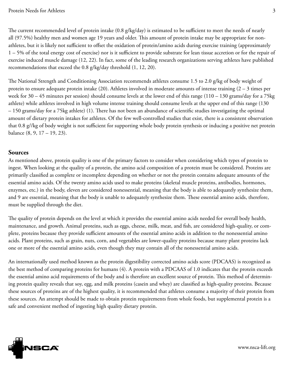The current recommended level of protein intake (0.8 g/kg/day) is estimated to be sufficient to meet the needs of nearly all (97.5%) healthy men and women age 19 years and older. This amount of protein intake may be appropriate for nonathletes, but it is likely not sufficient to offset the oxidation of protein/amino acids during exercise training (approximately 1 – 5% of the total energy cost of exercise) nor is it sufficient to provide substrate for lean tissue accretion or for the repair of exercise induced muscle damage (12, 22). In fact, some of the leading research organizations serving athletes have published recommendations that exceed the 0.8 g/kg/day threshold (1, 12, 20).

The National Strength and Conditioning Association recommends athletes consume 1.5 to 2.0 g/kg of body weight of protein to ensure adequate protein intake (20). Athletes involved in moderate amounts of intense training (2 – 3 times per week for 30 – 45 minutes per session) should consume levels at the lower end of this range (110 – 130 grams/day for a 75kg athlete) while athletes involved in high volume intense training should consume levels at the upper end of this range (130 – 150 grams/day for a 75kg athlete) (1). There has not been an abundance of scientific studies investigating the optimal amount of dietary protein intakes for athletes. Of the few well-controlled studies that exist, there is a consistent observation that 0.8 g//kg of body weight is not sufficient for supporting whole body protein synthesis or inducing a positive net protein balance (8, 9, 17 – 19, 23).

#### **Sources**

As mentioned above, protein quality is one of the primary factors to consider when considering which types of protein to ingest. When looking at the quality of a protein, the amino acid composition of a protein must be considered. Proteins are primarily classified as complete or incomplete depending on whether or not the protein contains adequate amounts of the essential amino acids. Of the twenty amino acids used to make proteins (skeletal muscle proteins, antibodies, hormones, enzymes, etc.) in the body, eleven are considered nonessential, meaning that the body is able to adequately synthesize them, and 9 are essential, meaning that the body is unable to adequately synthesize them. These essential amino acids, therefore, must be supplied through the diet.

The quality of protein depends on the level at which it provides the essential amino acids needed for overall body health, maintenance, and growth. Animal proteins, such as eggs, cheese, milk, meat, and fish, are considered high-quality, or complete, proteins because they provide sufficient amounts of the essential amino acids in addition to the nonessential amino acids. Plant proteins, such as grain, nuts, corn, and vegetables are lower-quality proteins because many plant proteins lack one or more of the essential amino acids, even though they may contain all of the nonessential amino acids.

An internationally used method known as the protein digestibility corrected amino acids score (PDCAAS) is recognized as the best method of comparing proteins for humans (4). A protein with a PDCAAS of 1.0 indicates that the protein exceeds the essential amino acid requirements of the body and is therefore an excellent source of protein. This method of determining protein quality reveals that soy, egg, and milk proteins (casein and whey) are classified as high-quality proteins. Because these sources of proteins are of the highest quality, it is recommended that athletes consume a majority of their protein from these sources. An attempt should be made to obtain protein requirements from whole foods, but supplemental protein is a safe and convenient method of ingesting high quality dietary protein.

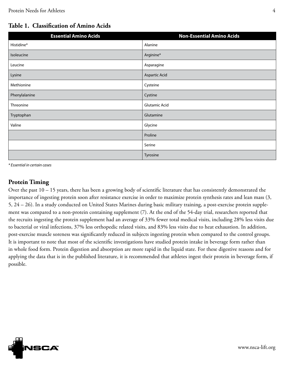## **Table 1. Classification of Amino Acids**

| <b>Essential Amino Acids</b> | <b>Non-Essential Amino Acids</b> |
|------------------------------|----------------------------------|
| Histidine*                   | Alanine                          |
| Isoleucine                   | Arginine*                        |
| Leucine                      | Asparagine                       |
| Lysine                       | Aspartic Acid                    |
| Methionine                   | Cysteine                         |
| Phenylalanine                | Cystine                          |
| Threonine                    | Glutamic Acid                    |
| Tryptophan                   | Glutamine                        |
| Valine                       | Glycine                          |
|                              | Proline                          |
|                              | Serine                           |
|                              | Tyrosine                         |

*\* Essential in certain cases*

#### **Protein Timing**

Over the past 10 – 15 years, there has been a growing body of scientific literature that has consistently demonstrated the importance of ingesting protein soon after resistance exercise in order to maximize protein synthesis rates and lean mass (3, 5, 24 – 26). In a study conducted on United States Marines during basic military training, a post-exercise protein supplement was compared to a non-protein containing supplement (7). At the end of the 54-day trial, researchers reported that the recruits ingesting the protein supplement had an average of 33% fewer total medical visits, including 28% less visits due to bacterial or viral infections, 37% less orthopedic related visits, and 83% less visits due to heat exhaustion. In addition, post-exercise muscle soreness was significantly reduced in subjects ingesting protein when compared to the control groups. It is important to note that most of the scientific investigations have studied protein intake in beverage form rather than in whole food form. Protein digestion and absorption are more rapid in the liquid state. For these digestive reasons and for applying the data that is in the published literature, it is recommended that athletes ingest their protein in beverage form, if possible.

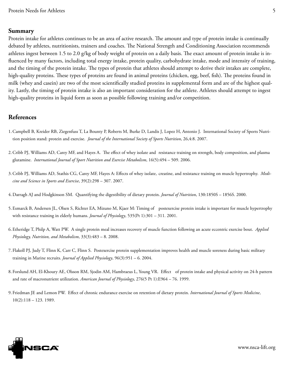#### **Summary**

Protein intake for athletes continues to be an area of active research. The amount and type of protein intake is continually debated by athletes, nutritionists, trainers and coaches. The National Strength and Conditioning Association recommends athletes ingest between 1.5 to 2.0 g/kg of body weight of protein on a daily basis. The exact amount of protein intake is influenced by many factors, including total energy intake, protein quality, carbohydrate intake, mode and intensity of training, and the timing of the protein intake. The types of protein that athletes should attempt to derive their intakes are complete, high-quality proteins. These types of proteins are found in animal proteins (chicken, egg, beef, fish). The proteins found in milk (whey and casein) are two of the most scientifically studied proteins in supplemental form and are of the highest quality. Lastly, the timing of protein intake is also an important consideration for the athlete. Athletes should attempt to ingest high-quality proteins in liquid form as soon as possible following training and/or competition.

#### **References**

- 1.Campbell B, Kreider RB, Ziegenfuss T, La Bounty P, Roberts M, Burke D, Landis J, Lopez H, Antonio J. International Society of Sports Nutrition position stand: protein and exercise. *Journal of the International Society of Sports Nutrition*, 26,4:8. 2007.
- 2.Cribb PJ, Williams AD, Carey MF, and Hayes A. The effect of whey isolate and resistance training on strength, body composition, and plasma glutamine. *International Journal of Sport Nutrition and Exercise Metabolism*, 16(5):494 – 509. 2006.
- 3.Cribb PJ, Williams AD, Stathis CG, Carey MF, Hayes A: Effects of whey isolate, creatine, and resistance training on muscle hypertrophy. *Medicine and Science in Sports and Exercise*, 39(2):298 – 307. 2007.
- 4.Darragh AJ and Hodgkinson SM. Quantifying the digestibility of dietary protein. *Journal of Nutrition*, 130:1850S 1856S. 2000.
- 5. Esmarck B, Andersen JL, Olsen S, Richter EA, Mizuno M, Kjaer M: Timing of postexercise protein intake is important for muscle hypertrophy with resistance training in elderly humans. *Journal of Physiology*, 535(Pt 1):301 – 311. 2001.
- 6. Etheridge T, Philp A, Watt PW. A single protein meal increases recovery of muscle function following an acute eccentric exercise bout. *Applied Physiology, Nutrition, and Metabolism*, 33(3):483 – 8. 2008.
- 7. Flakoll PJ, Judy T, Flinn K, Carr C, Flinn S. Postexercise protein supplementation improves health and muscle soreness during basic military training in Marine recruits. *Journal of Applied Physiology*, 96(3):951 – 6. 2004.
- 8. Forslund AH, El-Khoury AE, Olsson RM, Sjodin AM, Hambraeus L, Young VR. Effect of protein intake and physical activity on 24-h pattern and rate of macronutrient utilization. *American Journal of Physiology*, 276(5 Pt 1):E964 – 76. 1999.
- 9. Friedman JE and Lemon PW. Effect of chronic endurance exercise on retention of dietary protein. *International Journal of Sports Medicine*, 10(2):118 – 123. 1989.

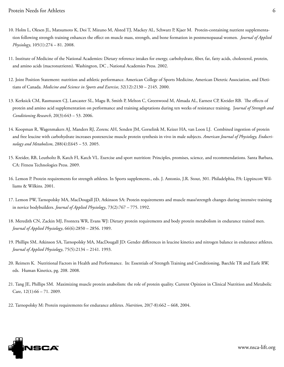- 10. Holm L, Olesen JL, Matsumoto K, Doi T, Mizuno M, Alsted TJ, Mackey AL, Schwarz P, Kjaer M. Protein-containing nutrient supplementation following strength training enhances the effect on muscle mass, strength, and bone formation in postmenopausal women. *Journal of Applied Physiology*, 105(1):274 – 81. 2008.
- 11. Institute of Medicine of the National Academies: Dietary reference intakes for energy, carbohydrate, fiber, fat, fatty acids, cholesterol, protein, and amino acids (macronutrients). Washington, DC , National Academies Press. 2002.
- 12. Joint Position Statement: nutrition and athletic performance. American College of Sports Medicine, American Dietetic Association, and Dietitians of Canada. *Medicine and Science in Sports and Exercise*, 32(12):2130 – 2145. 2000.
- 13. Kerksick CM, Rasmussen CJ, Lancaster SL, Magu B, Smith P, Melton C, Greenwood M, Almada AL, Earnest CP, Kreider RB. The effects of protein and amino acid supplementation on performance and training adaptations during ten weeks of resistance training. J*ournal of Strength and Conditioning Research*, 20(3):643 – 53. 2006.
- 14. Koopman R, Wagenmakers AJ, Manders RJ, Zorenc AH, Senden JM, Gorselink M, Keizer HA, van Loon LJ. Combined ingestion of protein and free leucine with carbohydrate increases postexercise muscle protein synthesis in vivo in male subjects. *American Journal of Physiology, Endocrinology and Metabolism*, 288(4):E645 – 53. 2005.
- 15. Kreider, RB, Leutholtz B, Katch FI, Katch VL. Exercise and sport nutrition: Principles, promises, science, and recommendations. Santa Barbara, CA: Fitness Technologies Press. 2009.
- 16. Lemon P. Protein requirements for strength athletes. In Sports supplements., eds. J. Antonio, J.R. Stout, 301. Philadelphia, PA: Lippincott Williams & Wilkins. 2001.
- 17. Lemon PW, Tarnopolsky MA, MacDougall JD, Atkinson SA: Protein requirements and muscle mass/strength changes during intensive training in novice bodybuilders. *Journal of Applied Physiology*, 73(2):767 – 775. 1992.
- 18. Meredith CN, Zackin MJ, Frontera WR, Evans WJ: Dietary protein requirements and body protein metabolism in endurance trained men. *Journal of Applied Physiology*, 66(6):2850 – 2856. 1989.
- 19. Phillips SM, Atkinson SA, Tarnopolsky MA, MacDougall JD: Gender differences in leucine kinetics and nitrogen balance in endurance athletes. *Journal of Applied Physiology*, 75(5):2134 – 2141. 1993.
- 20. Reimers K. Nutritional Factors in Health and Performance. In: Essentials of Strength Training and Conditioning, Baechle TR and Earle RW, eds. Human Kinetics, pg. 208. 2008.
- 21. Tang JE, Phillips SM. Maximizing muscle protein anabolism: the role of protein quality. Current Opinion in Clinical Nutrition and Metabolic Care,  $12(1):66 - 71$ . 2009.
- 22. Tarnopolsky M: Protein requirements for endurance athletes. *Nutrition*, 20(7-8):662 668, 2004.